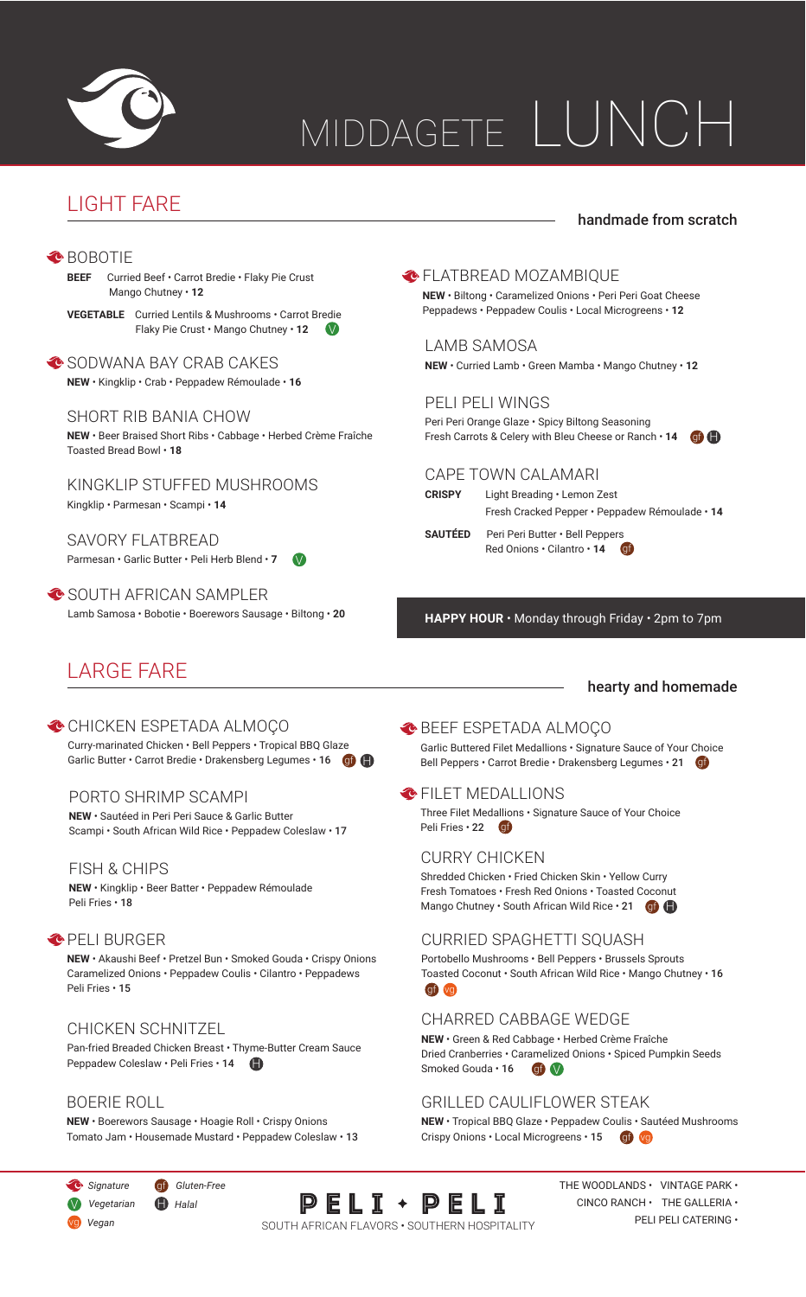

# MIDDAGETE LUNCH

# LIGHT FARE

## handmade from scratch

#### **<sup>◆</sup>BOBOTIE**

**BEEF** Curried Beef • Carrot Bredie • Flaky Pie Crust Mango Chutney • **12**

**VEGETABLE** Curried Lentils & Mushrooms • Carrot Bredie Flaky Pie Crust • Mango Chutney • **12** V

SODWANA BAY CRAB CAKES **NEW** • Kingklip • Crab • Peppadew Rémoulade • **16**

#### SHORT RIB BANIA CHOW

**NEW** • Beer Braised Short Ribs • Cabbage • Herbed Crème Fraîche Toasted Bread Bowl • **18**

KINGKLIP STUFFED MUSHROOMS Kingklip • Parmesan • Scampi • **14**

SAVORY FLATBREAD Parmesan • Garlic Butter • Peli Herb Blend • 7

SOUTH AFRICAN SAMPLER Lamb Samosa • Bobotie • Boerewors Sausage • Biltong • **20**

# LARGE FARE

CHICKEN ESPETADA ALMOÇO Curry-marinated Chicken • Bell Peppers • Tropical BBQ Glaze Garlic Butter • Carrot Bredie • Drakensberg Legumes • 16 **Gf** 

#### PORTO SHRIMP SCAMPI

**NEW** • Sautéed in Peri Peri Sauce & Garlic Butter Scampi • South African Wild Rice • Peppadew Coleslaw • 17

#### FISH & CHIPS

**NEW** • Kingklip • Beer Batter • Peppadew Rémoulade Peli Fries • 18

#### **OPELI BURGER**

**NEW** • Akaushi Beef • Pretzel Bun • Smoked Gouda • Crispy Onions Caramelized Onions • Peppadew Coulis • Cilantro • Peppadews Peli Fries • 15

#### CHICKEN SCHNITZEL

Pan-fried Breaded Chicken Breast • Thyme-Butter Cream Sauce Peppadew Coleslaw · Peli Fries · 14

#### BOERIE ROLL

**NEW** • Boerewors Sausage • Hoagie Roll • Crispy Onions Tomato Jam • Housemade Mustard • Peppadew Coleslaw • 13

#### **NEW** • Biltong • Caramelized Onions • Peri Peri Goat Cheese Peppadews • Peppadew Coulis • Local Microgreens • **12**

**ELATBREAD MOZAMBIQUE** 

LAMB SAMOSA

**NEW** • Curried Lamb • Green Mamba • Mango Chutney • **12**

## PELI PELI WINGS

Peri Peri Orange Glaze • Spicy Biltong Seasoning Fresh Carrots & Celery with Bleu Cheese or Ranch · 14 **G** 

#### CAPE TOWN CALAMARI

**CRISPY** Light Breading • Lemon Zest

Fresh Cracked Pepper • Peppadew Rémoulade • **14**

**SAUTÉED** Peri Peri Butter • Bell Peppers Red Onions • Cilantro • **14** gf

**HAPPY HOUR** • Monday through Friday • 2pm to 7pm

## hearty and homemade

## BEEF ESPETADA ALMOÇO

Garlic Buttered Filet Medallions • Signature Sauce of Your Choice Bell Peppers • Carrot Bredie • Drakensberg Legumes • 21 Gf

#### **C** FILET MEDALLIONS

Peli Fries • 22 **g**f Three Filet Medallions • Signature Sauce of Your Choice

## CURRY CHICKEN

Shredded Chicken • Fried Chicken Skin • Yellow Curry Fresh Tomatoes • Fresh Red Onions • Toasted Coconut Mango Chutney · South African Wild Rice · 21  $q$  +

## CURRIED SPAGHETTI SQUASH

gf) (vg Portobello Mushrooms • Bell Peppers • Brussels Sprouts Toasted Coconut • South African Wild Rice • Mango Chutney • 16

## CHARRED CABBAGE WEDGE

**NEW** • Green & Red Cabbage • Herbed Crème Fraîche Dried Cranberries • Caramelized Onions • Spiced Pumpkin Seeds Smoked Gouda  $\cdot$  16 **gf**  $\vee$ 

## GRILLED CAULIFLOWER STEAK

**NEW** • Tropical BBQ Glaze • Peppadew Coulis • Sautéed Mushrooms Crispy Onions · Local Microgreens · 15 **gf** vg

*Signature* gf *Gluten-Free* V *Vegetarian*

vg *Vegan*

H *Halal*



THE WOODLANDS  $\cdot$  VINTAGE PARK  $\cdot$  $CINCO RANCH \cdot HHE GALLERIA \cdot$ PELI PELI CATERING •